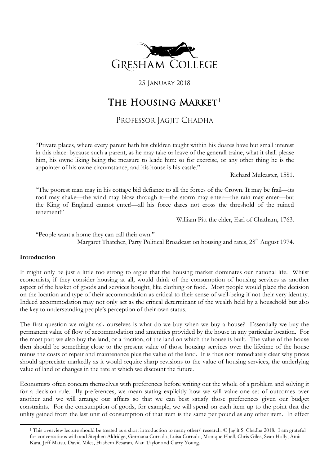

25 January 2018

# THE HOUSING MARKET<sup>[1](#page-0-0)</sup>

# PROFESSOR JAGJIT CHADHA

"Private places, where every parent hath his children taught within his doares have but small interest in this place: bycause such a parent, as he may take or leave of the generall traine, what it shall please him, his owne liking being the measure to leade him: so for exercise, or any other thing he is the appointer of his owne circumstance, and his house is his castle."

Richard Mulcaster, 1581.

"The poorest man may in his cottage bid defiance to all the forces of the Crown. It may be frail—its roof may shake—the wind may blow through it—the storm may enter—the rain may enter—but the King of England cannot enter!—all his force dares not cross the threshold of the ruined tenement!"

William Pitt the elder, Earl of Chatham, 1763.

"People want a home they can call their own." Margaret Thatcher, Party Political Broadcast on housing and rates,  $28<sup>th</sup>$  August 1974.

## **Introduction**

<span id="page-0-0"></span>**.** 

It might only be just a little too strong to argue that the housing market dominates our national life. Whilst economists, if they consider housing at all, would think of the consumption of housing services as another aspect of the basket of goods and services bought, like clothing or food. Most people would place the decision on the location and type of their accommodation as critical to their sense of well-being if not their very identity. Indeed accommodation may not only act as the critical determinant of the wealth held by a household but also the key to understanding people's perception of their own status.

The first question we might ask ourselves is what do we buy when we buy a house? Essentially we buy the permanent value of flow of accommodation and amenities provided by the house in any particular location. For the most part we also buy the land, or a fraction, of the land on which the house is built. The value of the house then should be something close to the present value of those housing services over the lifetime of the house minus the costs of repair and maintenance plus the value of the land. It is thus not immediately clear why prices should appreciate markedly as it would require sharp revisions to the value of housing services, the underlying value of land or changes in the rate at which we discount the future.

Economists often concern themselves with preferences before writing out the whole of a problem and solving it for a decision rule. By preferences, we mean stating explicitly how we will value one set of outcomes over another and we will arrange our affairs so that we can best satisfy those preferences given our budget constraints. For the consumption of goods, for example, we will spend on each item up to the point that the utility gained from the last unit of consumption of that item is the same per pound as any other item. In effect

<sup>1</sup> This overview lecture should be treated as a short introduction to many others' research. © Jagjit S. Chadha 2018. I am grateful for conversations with and Stephen Aldridge, Germana Corrado, Luisa Corrado, Monique Ebell, Chris Giles, Sean Holly, Amit Kara, Jeff Matsu, David Miles, Hashem Pesaran, Alan Taylor and Garry Young.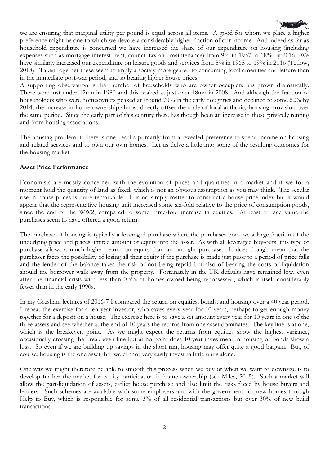

we are ensuring that marginal utility per pound is equal across all items. A good for whom we place a higher preference might be one to which we devote a considerably higher fraction of our income. And indeed as far as household expenditure is concerned we have increased the share of our expenditure on housing (including expenses such as mortgage interest, rent, council tax and maintenance) from 9% in 1957 to 18% by 2016. We have similarly increased our expenditure on leisure goods and services from 8% in 1968 to 19% in 2016 (Tetlow, 2018). Taken together these seem to imply a society more geared to consuming local amenities and leisure than in the immediate post-war period, and so bearing higher house prices.

A supporting observation is that number of households who are owner occupiers has grown dramatically. There were just under 12mn in 1980 and this peaked at just over 18mn in 2008. And although the fraction of householders who were homeowners peaked at around 70% in the early noughties and declined to some 62% by 2014, the increase in home ownership almost directly offset the scale of local authority housing provision over the same period. Since the early part of this century there has though been an increase in those privately renting and from housing associations.

The housing problem, if there is one, results primarily from a revealed preference to spend income on housing and related services and to own our own homes. Let us delve a little into some of the resulting outcomes for the housing market.

#### **Asset Price Performance**

Economists are mostly concerned with the evolution of prices and quantities in a market and if we for a moment hold the quantity of land as fixed, which is not an obvious assumption as you may think. The secular rise in house prices is quite remarkable. It is no simply matter to construct a house price index but it would appear that the representative housing unit increased some six-fold relative to the price of consumption goods, since the end of the WW2, compared to some three-fold increase in equities. At least at face value the purchases seem to have offered a good return.

The purchase of housing is typically a leveraged purchase where the purchaser borrows a large fraction of the underlying price and places limited amount of equity into the asset. As with all leveraged buy-outs, this type of purchase allows a much higher return on equity than an outright purchase. It does though mean that the purchaser faces the possibility of losing all their equity if the purchase is made just prior to a period of price falls and the lender of the balance takes the risk of not being repaid but also of bearing the costs of liquidation should the borrower walk away from the property. Fortunately in the UK defaults have remained low, even after the financial crisis with less than 0.5% of homes owned being repossessed, which is itself considerably fewer than in the early 1990s.

In my Gresham lectures of 2016-7 I compared the return on equities, bonds, and housing over a 40 year period. I repeat the exercise for a ten year investor, who saves every year for 10 years, perhaps to get enough money together for a deposit on a house. The exercise here is to save a set amount every year for 10 years in one of the three assets and see whether at the end of 10 years the returns from one asset dominates. The key line is at one, which is the breakeven point. As we might expect the returns from equities show the highest variance, occasionally crossing the break-even line but at no point does 10-year investment in housing or bonds show a loss. So even if we are building up savings in the short run, housing may offer quite a good bargain. But, of course, housing is the one asset that we cannot very easily invest in little units alone.

One way we might therefore be able to smooth this process when we buy or when we want to downsize is to develop further the market for equity participation in home ownership (see Miles, 2015). Such a market will allow the part-liquidation of assets, earlier house purchase and also limit the risks faced by house buyers and lenders. Such schemes are available with some employers and with the government for new homes through Help to Buy, which is responsible for some 3% of all residential transactions but over 30% of new build transactions.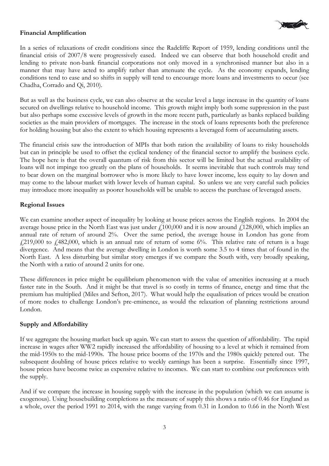## **Financial Amplification**



In a series of relaxations of credit conditions since the Radcliffe Report of 1959, lending conditions until the financial crisis of 2007/8 were progressively eased. Indeed we can observe that both household credit and lending to private non-bank financial corporations not only moved in a synchronised manner but also in a manner that may have acted to amplify rather than attenuate the cycle. As the economy expands, lending conditions tend to ease and so shifts in supply will tend to encourage more loans and investments to occur (see Chadha, Corrado and Qi, 2010).

But as well as the business cycle, we can also observe at the secular level a large increase in the quantity of loans secured on dwellings relative to household income. This growth might imply both some suppression in the past but also perhaps some excessive levels of growth in the more recent path, particularly as banks replaced building societies as the main providers of mortgages. The increase in the stock of loans represents both the preference for holding housing but also the extent to which housing represents a leveraged form of accumulating assets.

The financial crisis saw the introduction of MPIs that both ration the availability of loans to risky households but can in principle be used to offset the cyclical tendency of the financial sector to amplify the business cycle. The hope here is that the overall quantum of risk from this sector will be limited but the actual availability of loans will not impinge too greatly on the plans of households. It seems inevitable that such controls may tend to bear down on the marginal borrower who is more likely to have lower income, less equity to lay down and may come to the labour market with lower levels of human capital. So unless we are very careful such policies may introduce more inequality as poorer households will be unable to access the purchase of leveraged assets.

## **Regional Issues**

We can examine another aspect of inequality by looking at house prices across the English regions. In 2004 the average house price in the North East was just under  $\ell$ 100,000 and it is now around  $\ell$ 128,000, which implies an annual rate of return of around 2%. Over the same period, the average house in London has gone from  $f(219,000)$  to  $f(482,000)$ , which is an annual rate of return of some 6%. This relative rate of return is a huge divergence. And means that the average dwelling in London is worth some 3.5 to 4 times that of found in the North East. A less disturbing but similar story emerges if we compare the South with, very broadly speaking, the North with a ratio of around 2 units for one.

These differences in price might be equilibrium phenomenon with the value of amenities increasing at a much faster rate in the South. And it might be that travel is so costly in terms of finance, energy and time that the premium has multiplied (Miles and Sefton, 2017). What would help the equalisation of prices would be creation of more nodes to challenge London's pre-eminence, as would the relaxation of planning restrictions around London.

#### **Supply and Affordability**

If we aggregate the housing market back up again. We can start to assess the question of affordability. The rapid increase in wages after WW2 rapidly increased the affordability of housing to a level at which it remained from the mid-1950s to the mid-1990s. The house price booms of the 1970s and the 1980s quickly petered out. The subsequent doubling of house prices relative to weekly earnings has been a surprise. Essentially since 1997, house prices have become twice as expensive relative to incomes. We can start to combine our preferences with the supply.

And if we compare the increase in housing supply with the increase in the population (which we can assume is exogenous). Using housebuilding completions as the measure of supply this shows a ratio of 0.46 for England as a whole, over the period 1991 to 2014, with the range varying from 0.31 in London to 0.66 in the North West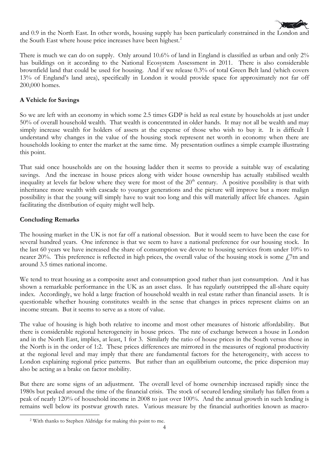

and 0.9 in the North East. In other words, housing supply has been particularly constrained in the London and the South East where house price increases have been highest.<sup>[2](#page-3-0)</sup>

There is much we can do on supply. Only around 10.6% of land in England is classified as urban and only 2% has buildings on it according to the National Ecosystem Assessment in 2011. There is also considerable brownfield land that could be used for housing. And if we release 0.3% of total Green Belt land (which covers 13% of England's land area), specifically in London it would provide space for approximately not far off 200,000 homes.

#### **A Vehicle for Savings**

So we are left with an economy in which some 2.5 times GDP is held as real estate by households at just under 50% of overall household wealth. That wealth is concentrated in older hands. It may not all be wealth and may simply increase wealth for holders of assets at the expense of those who wish to buy it. It is difficult I understand why changes in the value of the housing stock represent net worth in economy when there are households looking to enter the market at the same time. My presentation outlines a simple example illustrating this point.

That said once households are on the housing ladder then it seems to provide a suitable way of escalating savings. And the increase in house prices along with wider house ownership has actually stabilised wealth inequality at levels far below where they were for most of the 20<sup>th</sup> century. A positive possibility is that with inheritance more wealth with cascade to younger generations and the picture will improve but a more malign possibility is that the young will simply have to wait too long and this will materially affect life chances. Again facilitating the distribution of equity might well help.

#### **Concluding Remarks**

<span id="page-3-0"></span>**.** 

The housing market in the UK is not far off a national obsession. But it would seem to have been the case for several hundred years. One inference is that we seem to have a national preference for our housing stock. In the last 60 years we have increased the share of consumption we devote to housing services from under 10% to nearer 20%. This preference is reflected in high prices, the overall value of the housing stock is some  $f$ ,7tn and around 3.5 times national income.

We tend to treat housing as a composite asset and consumption good rather than just consumption. And it has shown a remarkable performance in the UK as an asset class. It has regularly outstripped the all-share equity index. Accordingly, we hold a large fraction of household wealth in real estate rather than financial assets. It is questionable whether housing constitutes wealth in the sense that changes in prices represent claims on an income stream. But it seems to serve as a store of value.

The value of housing is high both relative to income and most other measures of historic affordability. But there is considerable regional heterogeneity in house prices. The rate of exchange between a house in London and in the North East, implies, at least, 1 for 3. Similarly the ratio of house prices in the South versus those in the North is in the order of 1:2. These prices differences are mirrored in the measures of regional productivity at the regional level and may imply that there are fundamental factors for the heterogeneity, with access to London explaining regional price patterns. But rather than an equilibrium outcome, the price dispersion may also be acting as a brake on factor mobility.

But there are some signs of an adjustment. The overall level of home ownership increased rapidly since the 1980s but peaked around the time of the financial crisis. The stock of secured lending similarly has fallen from a peak of nearly 120% of household income in 2008 to just over 100%. And the annual growth in such lending is remains well below its postwar growth rates. Various measure by the financial authorities known as macro-

<sup>2</sup> With thanks to Stephen Aldridge for making this point to me.